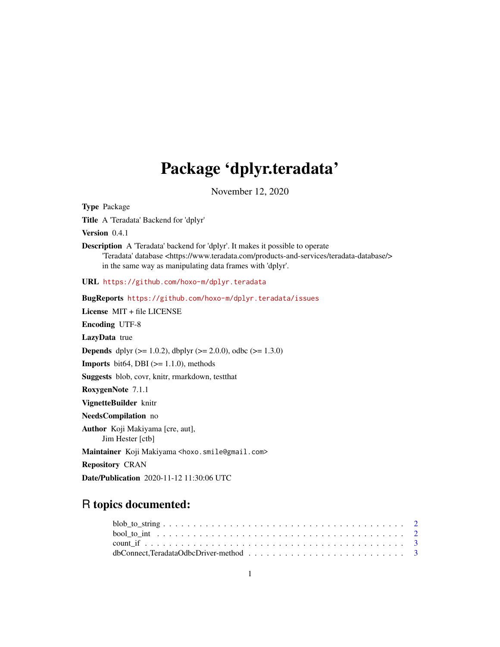# Package 'dplyr.teradata'

November 12, 2020

<span id="page-0-0"></span>Type Package

Title A 'Teradata' Backend for 'dplyr'

Version 0.4.1

Description A 'Teradata' backend for 'dplyr'. It makes it possible to operate 'Teradata' database <https://www.teradata.com/products-and-services/teradata-database/> in the same way as manipulating data frames with 'dplyr'.

URL <https://github.com/hoxo-m/dplyr.teradata>

BugReports <https://github.com/hoxo-m/dplyr.teradata/issues>

License MIT + file LICENSE

Encoding UTF-8

LazyData true

**Depends** dplyr ( $>= 1.0.2$ ), dbplyr ( $>= 2.0.0$ ), odbc ( $>= 1.3.0$ )

**Imports** bit64, DBI  $(>= 1.1.0)$ , methods

Suggests blob, covr, knitr, rmarkdown, testthat

RoxygenNote 7.1.1

VignetteBuilder knitr

NeedsCompilation no

Author Koji Makiyama [cre, aut], Jim Hester [ctb]

Maintainer Koji Makiyama <hoxo.smile@gmail.com>

Repository CRAN

Date/Publication 2020-11-12 11:30:06 UTC

## R topics documented: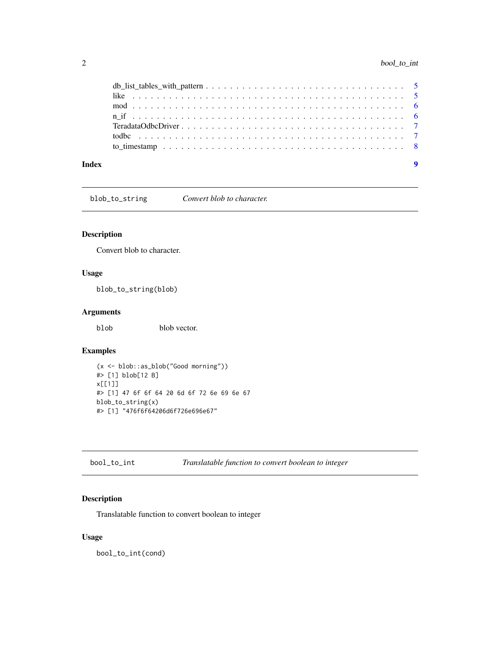<span id="page-1-0"></span>

| Index |  |
|-------|--|

blob\_to\_string *Convert blob to character.*

#### Description

Convert blob to character.

#### Usage

blob\_to\_string(blob)

#### Arguments

blob blob vector.

#### Examples

```
(x <- blob::as_blob("Good morning"))
#> [1] blob[12 B]
x[[1]]
#> [1] 47 6f 6f 64 20 6d 6f 72 6e 69 6e 67
blob_to_string(x)
#> [1] "476f6f64206d6f726e696e67"
```
bool\_to\_int *Translatable function to convert boolean to integer*

#### Description

Translatable function to convert boolean to integer

#### Usage

bool\_to\_int(cond)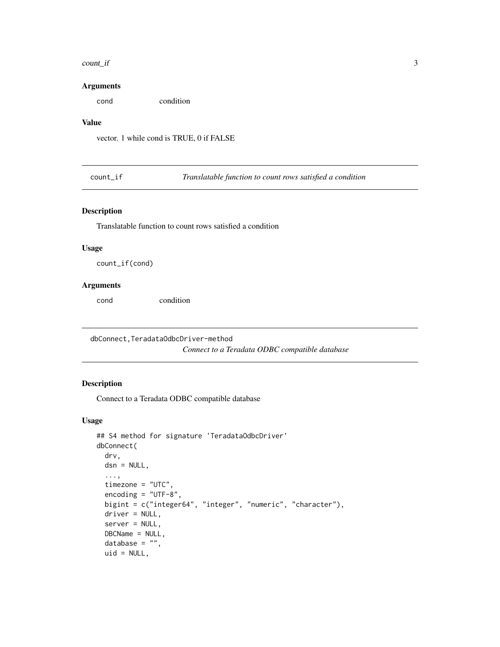#### <span id="page-2-0"></span>count\_if 3

#### Arguments

cond condition

#### Value

vector. 1 while cond is TRUE, 0 if FALSE

count\_if *Translatable function to count rows satisfied a condition*

#### Description

Translatable function to count rows satisfied a condition

#### Usage

count\_if(cond)

#### Arguments

cond condition

dbConnect,TeradataOdbcDriver-method

*Connect to a Teradata ODBC compatible database*

#### Description

Connect to a Teradata ODBC compatible database

#### Usage

```
## S4 method for signature 'TeradataOdbcDriver'
dbConnect(
  drv,
  dsn = NULL,...,
  timezone = "UTC",
  encoding = "UTF-8",
 bigint = c("integer64", "integer", "numeric", "character"),
  driver = NULL,
  server = NULL,
  DBCName = NULL,
  database = ",
  uid = NULL,
```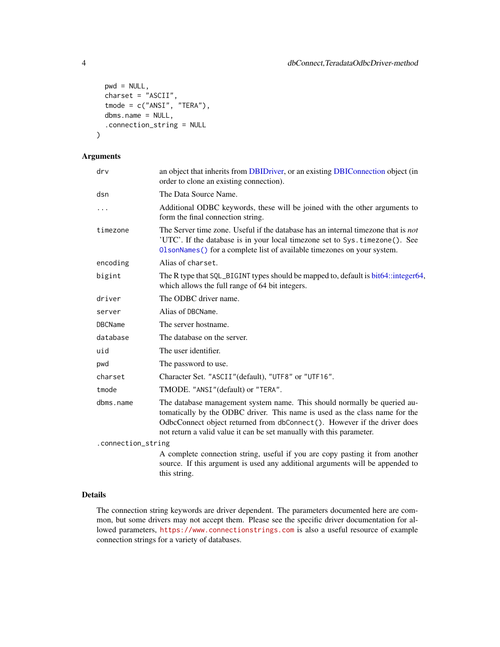```
pwd = NULL,
 charset = "ASCII",
 tmode = c("ANSI", "TERA"),
 dbms.name = NULL,
  .connection_string = NULL
)
```
#### Arguments

| drv                                                                                                                                             | an object that inherits from DBIDriver, or an existing DBIConnection object (in<br>order to clone an existing connection).                                                                                                                                                                                  |  |
|-------------------------------------------------------------------------------------------------------------------------------------------------|-------------------------------------------------------------------------------------------------------------------------------------------------------------------------------------------------------------------------------------------------------------------------------------------------------------|--|
| dsn                                                                                                                                             | The Data Source Name.                                                                                                                                                                                                                                                                                       |  |
| .                                                                                                                                               | Additional ODBC keywords, these will be joined with the other arguments to<br>form the final connection string.                                                                                                                                                                                             |  |
| timezone                                                                                                                                        | The Server time zone. Useful if the database has an internal timezone that is not<br>'UTC'. If the database is in your local timezone set to Sys. timezone(). See<br>OlsonNames () for a complete list of available timezones on your system.                                                               |  |
| encoding                                                                                                                                        | Alias of charset.                                                                                                                                                                                                                                                                                           |  |
| The R type that SQL_BIGINT types should be mapped to, default is bit64::integer64,<br>bigint<br>which allows the full range of 64 bit integers. |                                                                                                                                                                                                                                                                                                             |  |
| driver                                                                                                                                          | The ODBC driver name.                                                                                                                                                                                                                                                                                       |  |
| server                                                                                                                                          | Alias of DBCName.                                                                                                                                                                                                                                                                                           |  |
| <b>DBCName</b>                                                                                                                                  | The server hostname.                                                                                                                                                                                                                                                                                        |  |
| database                                                                                                                                        | The database on the server.                                                                                                                                                                                                                                                                                 |  |
| uid                                                                                                                                             | The user identifier.                                                                                                                                                                                                                                                                                        |  |
| pwd                                                                                                                                             | The password to use.                                                                                                                                                                                                                                                                                        |  |
| charset                                                                                                                                         | Character Set. "ASCII"(default), "UTF8" or "UTF16".                                                                                                                                                                                                                                                         |  |
| tmode                                                                                                                                           | TMODE. "ANSI" (default) or "TERA".                                                                                                                                                                                                                                                                          |  |
| dbms.name                                                                                                                                       | The database management system name. This should normally be queried au-<br>tomatically by the ODBC driver. This name is used as the class name for the<br>OdbcConnect object returned from dbConnect(). However if the driver does<br>not return a valid value it can be set manually with this parameter. |  |
| .connection_string                                                                                                                              |                                                                                                                                                                                                                                                                                                             |  |
|                                                                                                                                                 | A complete connection string, useful if you are copy pasting it from another<br>source. If this argument is used any additional arguments will be appended to<br>this string.                                                                                                                               |  |
|                                                                                                                                                 |                                                                                                                                                                                                                                                                                                             |  |

#### Details

The connection string keywords are driver dependent. The parameters documented here are common, but some drivers may not accept them. Please see the specific driver documentation for allowed parameters, <https://www.connectionstrings.com> is also a useful resource of example connection strings for a variety of databases.

<span id="page-3-0"></span>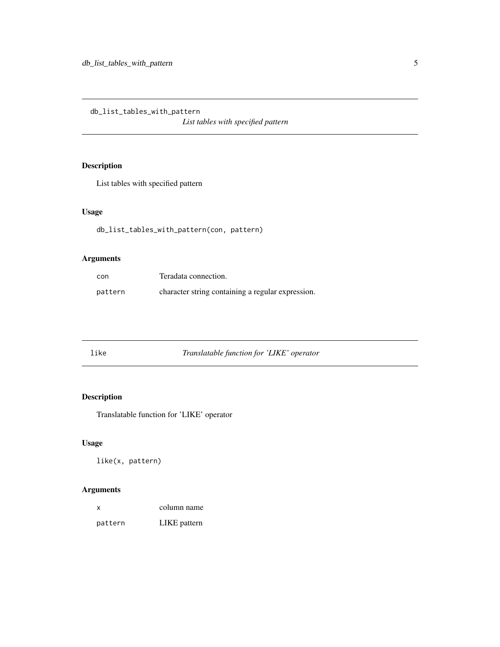<span id="page-4-0"></span>db\_list\_tables\_with\_pattern

*List tables with specified pattern*

### Description

List tables with specified pattern

#### Usage

db\_list\_tables\_with\_pattern(con, pattern)

#### Arguments

| con     | Teradata connection.                              |
|---------|---------------------------------------------------|
| pattern | character string containing a regular expression. |

| like<br>Translatable function for 'LIKE' operator |  |
|---------------------------------------------------|--|
|---------------------------------------------------|--|

#### Description

Translatable function for 'LIKE' operator

#### Usage

like(x, pattern)

#### Arguments

| X.      | column name  |
|---------|--------------|
| pattern | LIKE pattern |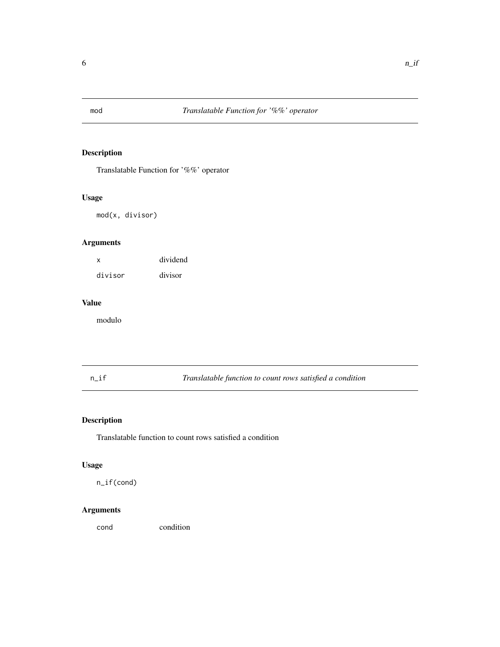<span id="page-5-0"></span>

#### Description

Translatable Function for '%%' operator

#### Usage

mod(x, divisor)

#### Arguments

x dividend divisor divisor

#### Value

modulo

n\_if *Translatable function to count rows satisfied a condition*

#### Description

Translatable function to count rows satisfied a condition

#### Usage

n\_if(cond)

#### Arguments

cond condition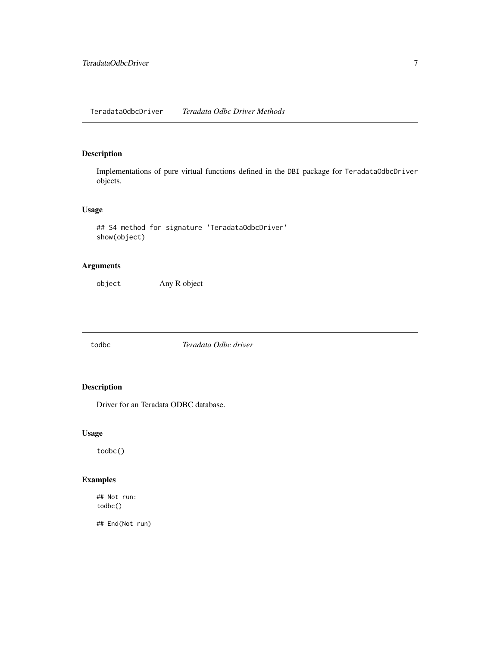#### <span id="page-6-0"></span>Description

Implementations of pure virtual functions defined in the DBI package for TeradataOdbcDriver objects.

#### Usage

```
## S4 method for signature 'TeradataOdbcDriver'
show(object)
```
#### Arguments

object Any R object

todbc *Teradata Odbc driver*

#### Description

Driver for an Teradata ODBC database.

#### Usage

todbc()

#### Examples

## Not run: todbc()

## End(Not run)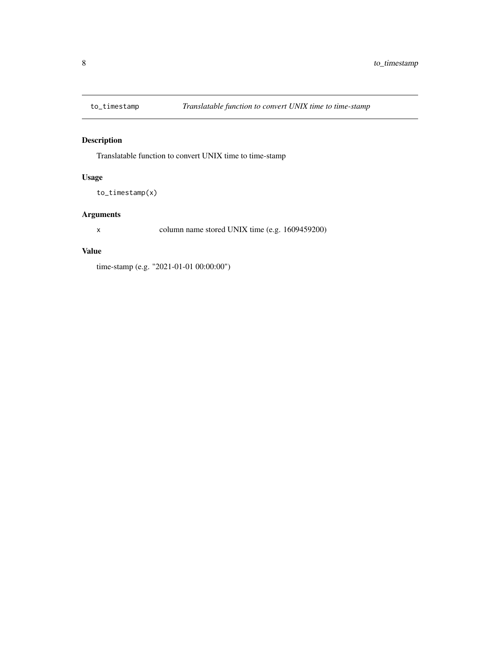<span id="page-7-0"></span>

#### Description

Translatable function to convert UNIX time to time-stamp

#### Usage

to\_timestamp(x)

#### Arguments

x column name stored UNIX time (e.g. 1609459200)

#### Value

time-stamp (e.g. "2021-01-01 00:00:00")